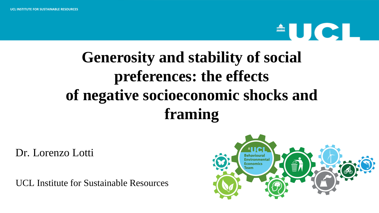## $\triangle$  U C I

## **Generosity and stability of social preferences: the effects of negative socioeconomic shocks and framing**

Dr. Lorenzo Lotti

UCL Institute for Sustainable Resources

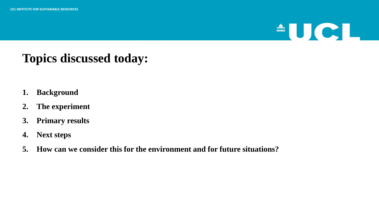## $\triangle$ UCL

## **Topics discussed today:**

- **1. Background**
- **2. The experiment**
- **3. Primary results**
- **4. Next steps**
- **5. How can we consider this for the environment and for future situations?**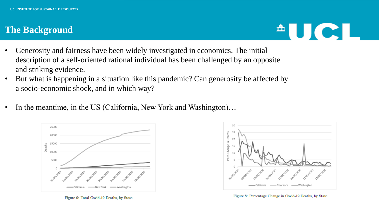#### **The Background**



- Generosity and fairness have been widely investigated in economics. The initial description of a self-oriented rational individual has been challenged by an opposite and striking evidence.
- But what is happening in a situation like this pandemic? Can generosity be affected by a socio-economic shock, and in which way?
- In the meantime, in the US (California, New York and Washington)...







Figure 8: Percentage Change in Covid-19 Deaths, by State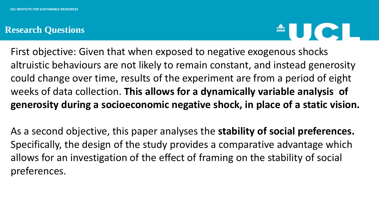#### **Research Questions**



First objective: Given that when exposed to negative exogenous shocks altruistic behaviours are not likely to remain constant, and instead generosity could change over time, results of the experiment are from a period of eight weeks of data collection. **This allows for a dynamically variable analysis of generosity during a socioeconomic negative shock, in place of a static vision.** 

As a second objective, this paper analyses the **stability of social preferences.**  Specifically, the design of the study provides a comparative advantage which allows for an investigation of the effect of framing on the stability of social preferences.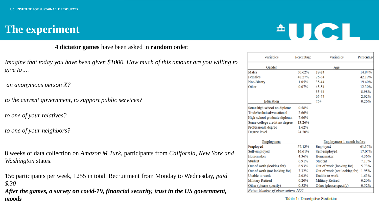### **The experiment**

## $\triangle$ UCI

**4 dictator games** have been asked in **random** order:

*Imagine that today you have been given \$1000. How much of this amount are you willing to give to….*

*an anonymous person X?*

*to the current government, to support public services?*

*to one of your relatives?*

*to one of your neighbors?*

8 weeks of data collection on *Amazon M Turk*, participants from *California, New York and Washington* states.

156 participants per week, 1255 in total. Recruitment from Monday to Wednesday, *paid \$.30*

*After the games, a survey on covid-19, financial security, trust in the US government, moods*

| Variables                     | Percentage | Variables                     | Percentage |
|-------------------------------|------------|-------------------------------|------------|
| Gender                        |            | Age                           |            |
| Males                         | 50.62%     | 18-24                         | 14.84%     |
| Females                       | 48.27%     | 25-34                         | 42.19%     |
| Non-Binary                    | 1.05%      | 35-44                         | 19.40%     |
| Other                         | 0.07%      | 45-54                         | 12.30%     |
|                               |            | 55-64                         | 8.98%      |
|                               |            | 65-74                         | 2.02%      |
| Education                     |            | $75+$                         | 0.26%      |
| Some high school no diploma   | 0.58%      |                               |            |
| Trade/technical/vocational    | 2.66%      |                               |            |
| High-school graduate diploma  | 7.66%      |                               |            |
| Some college credit no degree | 13.26%     |                               |            |
| Professional degree           | 1.62%      |                               |            |
| Degree level                  | 74.20%     |                               |            |
| Employment                    |            | Employment 1 month before     |            |
| Employed                      | 57.13%     | Employed                      | 61.37%     |
| Self-employed                 | 16.61%     | Self-employed                 | 17.07%     |
| Homemaker                     | 4.36%      | Homemaker                     | 4.36%      |
| Student                       | 6.91%      | Student                       | 7.17%      |
| Out of work (looking for)     | 8.93%      | Out of work (looking for)     | 5.73%      |
| Out of work (not looking for) | 3.32%      | Out of work (not looking for) | 1.95%      |
| Unable to work                | 2.02%      | Unable to work                | 1.63%      |
| <b>Military Retired</b>       | 0.20%      | Military Retired              | 0.20%      |
| Other (please specify)        | 0.52%      | Other (please specify)        | 0.52%      |

Table 1: Descriptive Statistics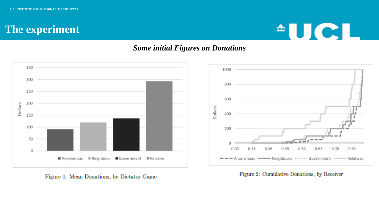### **The experiment**



#### *Some initial Figures on Donations*



Figure 1: Mean Donations, by Dictator Game

Figure 2: Cumulative Donations, by Receiver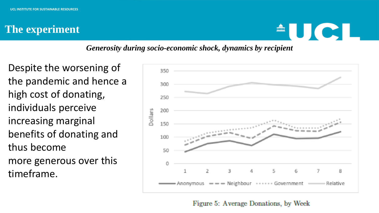### **The experiment**



#### *Generosity during socio-economic shock, dynamics by recipient*

Despite the worsening of the pandemic and hence a high cost of donating, individuals perceive increasing marginal benefits of donating and thus become more generous over this timeframe.



Figure 5: Average Donations, by Week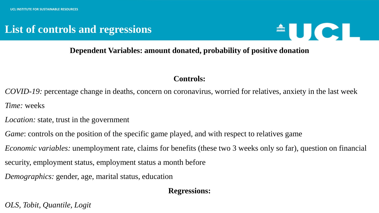### **List of controls and regressions**



#### **Dependent Variables: amount donated, probability of positive donation**

#### **Controls:**

*COVID-19:* percentage change in deaths, concern on coronavirus, worried for relatives, anxiety in the last week *Time:* weeks

- *Location:* state, trust in the government
- *Game*: controls on the position of the specific game played, and with respect to relatives game
- *Economic variables:* unemployment rate, claims for benefits (these two 3 weeks only so far), question on financial
- security, employment status, employment status a month before
- *Demographics:* gender, age, marital status, education

#### **Regressions:**

*OLS, Tobit, Quantile, Logit*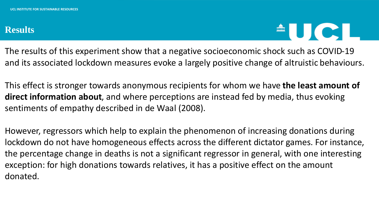#### **Results**



The results of this experiment show that a negative socioeconomic shock such as COVID-19 and its associated lockdown measures evoke a largely positive change of altruistic behaviours.

This effect is stronger towards anonymous recipients for whom we have **the least amount of direct information about**, and where perceptions are instead fed by media, thus evoking sentiments of empathy described in de Waal (2008).

However, regressors which help to explain the phenomenon of increasing donations during lockdown do not have homogeneous effects across the different dictator games. For instance, the percentage change in deaths is not a significant regressor in general, with one interesting exception: for high donations towards relatives, it has a positive effect on the amount donated.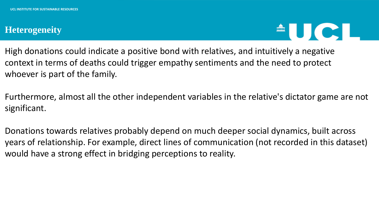#### **Heterogeneity**



High donations could indicate a positive bond with relatives, and intuitively a negative context in terms of deaths could trigger empathy sentiments and the need to protect whoever is part of the family.

Furthermore, almost all the other independent variables in the relative's dictator game are not significant.

Donations towards relatives probably depend on much deeper social dynamics, built across years of relationship. For example, direct lines of communication (not recorded in this dataset) would have a strong effect in bridging perceptions to reality.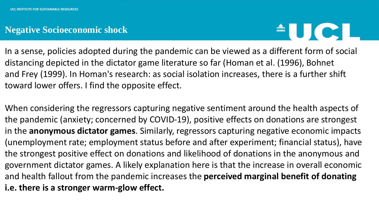#### **Negative Socioeconomic shock**



In a sense, policies adopted during the pandemic can be viewed as a different form of social distancing depicted in the dictator game literature so far (Homan et al. (1996), Bohnet and Frey (1999). In Homan's research: as social isolation increases, there is a further shift toward lower offers. I find the opposite effect.

When considering the regressors capturing negative sentiment around the health aspects of the pandemic (anxiety; concerned by COVID-19), positive effects on donations are strongest in the **anonymous dictator games**. Similarly, regressors capturing negative economic impacts (unemployment rate; employment status before and after experiment; financial status), have the strongest positive effect on donations and likelihood of donations in the anonymous and government dictator games. A likely explanation here is that the increase in overall economic and health fallout from the pandemic increases the **perceived marginal benefit of donating i.e. there is a stronger warm-glow effect.**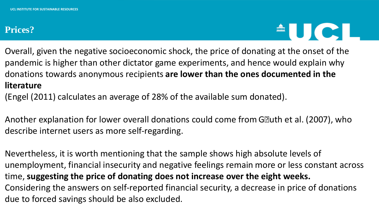#### **Prices?**



Overall, given the negative socioeconomic shock, the price of donating at the onset of the pandemic is higher than other dictator game experiments, and hence would explain why donations towards anonymous recipients **are lower than the ones documented in the literature**

(Engel (2011) calculates an average of 28% of the available sum donated).

Another explanation for lower overall donations could come from G• uth et al. (2007), who describe internet users as more self-regarding.

Nevertheless, it is worth mentioning that the sample shows high absolute levels of unemployment, financial insecurity and negative feelings remain more or less constant across time, **suggesting the price of donating does not increase over the eight weeks.** Considering the answers on self-reported financial security, a decrease in price of donations due to forced savings should be also excluded.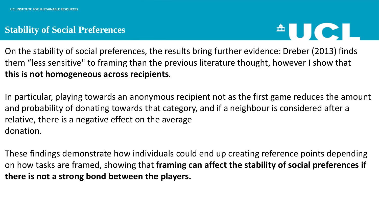#### **Stability of Social Preferences**



On the stability of social preferences, the results bring further evidence: Dreber (2013) finds them "less sensitive" to framing than the previous literature thought, however I show that **this is not homogeneous across recipients**.

In particular, playing towards an anonymous recipient not as the first game reduces the amount and probability of donating towards that category, and if a neighbour is considered after a relative, there is a negative effect on the average donation.

These findings demonstrate how individuals could end up creating reference points depending on how tasks are framed, showing that **framing can affect the stability of social preferences if there is not a strong bond between the players.**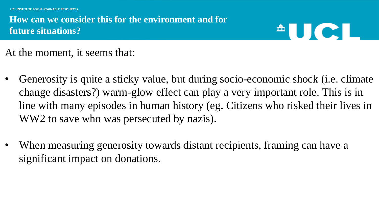**UCL INSTITUTE FOR SUSTAINABLE RESOURCES**

### **How can we consider this for the environment and for future situations?**

# $\triangle$  U C I

At the moment, it seems that:

- Generosity is quite a sticky value, but during socio-economic shock (i.e. climate change disasters?) warm-glow effect can play a very important role. This is in line with many episodes in human history (eg. Citizens who risked their lives in WW2 to save who was persecuted by nazis).
- When measuring generosity towards distant recipients, framing can have a significant impact on donations.